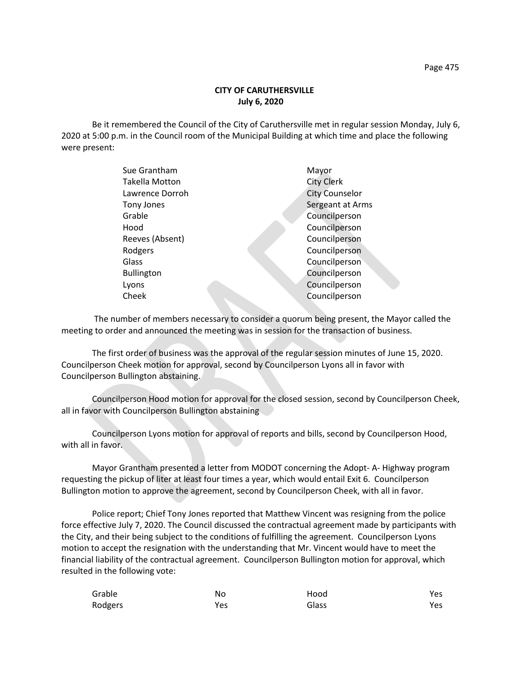Be it remembered the Council of the City of Caruthersville met in regular session Monday, July 6, 2020 at 5:00 p.m. in the Council room of the Municipal Building at which time and place the following were present:

| Sue Grantham      | Mayor                 |
|-------------------|-----------------------|
| Takella Motton    | <b>City Clerk</b>     |
| Lawrence Dorroh   | <b>City Counselor</b> |
| Tony Jones        | Sergeant at Arms      |
| Grable            | Councilperson         |
| Hood              | Councilperson         |
| Reeves (Absent)   | Councilperson         |
| Rodgers           | Councilperson         |
| Glass             | Councilperson         |
| <b>Bullington</b> | Councilperson         |
| Lyons             | Councilperson         |
| Cheek             | Councilperson         |
|                   |                       |

 The number of members necessary to consider a quorum being present, the Mayor called the meeting to order and announced the meeting was in session for the transaction of business.

The first order of business was the approval of the regular session minutes of June 15, 2020. Councilperson Cheek motion for approval, second by Councilperson Lyons all in favor with Councilperson Bullington abstaining.

Councilperson Hood motion for approval for the closed session, second by Councilperson Cheek, all in favor with Councilperson Bullington abstaining

Councilperson Lyons motion for approval of reports and bills, second by Councilperson Hood, with all in favor.

Mayor Grantham presented a letter from MODOT concerning the Adopt- A- Highway program requesting the pickup of liter at least four times a year, which would entail Exit 6. Councilperson Bullington motion to approve the agreement, second by Councilperson Cheek, with all in favor.

Police report; Chief Tony Jones reported that Matthew Vincent was resigning from the police force effective July 7, 2020. The Council discussed the contractual agreement made by participants with the City, and their being subject to the conditions of fulfilling the agreement. Councilperson Lyons motion to accept the resignation with the understanding that Mr. Vincent would have to meet the financial liability of the contractual agreement. Councilperson Bullington motion for approval, which resulted in the following vote:

| Grable  | No  | Hood  | Yes |
|---------|-----|-------|-----|
| Rodgers | Yes | Glass | Yes |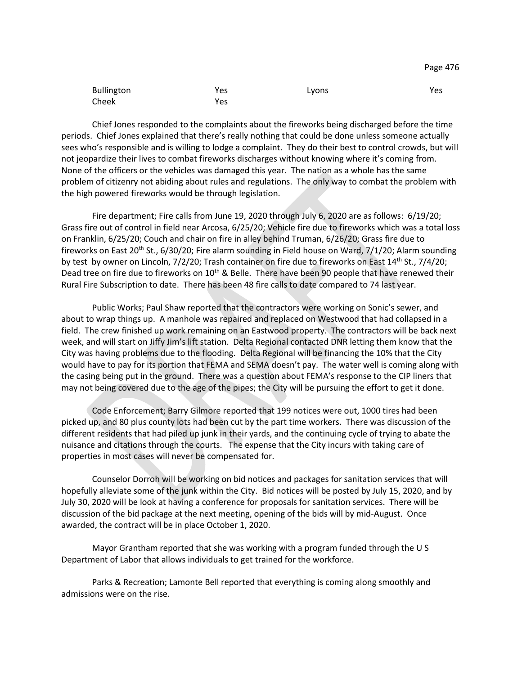| <b>Bullington</b> | Yes | Lyons | Yes |
|-------------------|-----|-------|-----|
| Cheek             | Yes |       |     |

Page 476

Chief Jones responded to the complaints about the fireworks being discharged before the time periods. Chief Jones explained that there's really nothing that could be done unless someone actually sees who's responsible and is willing to lodge a complaint. They do their best to control crowds, but will not jeopardize their lives to combat fireworks discharges without knowing where it's coming from. None of the officers or the vehicles was damaged this year. The nation as a whole has the same problem of citizenry not abiding about rules and regulations. The only way to combat the problem with the high powered fireworks would be through legislation.

Fire department; Fire calls from June 19, 2020 through July 6, 2020 are as follows: 6/19/20; Grass fire out of control in field near Arcosa, 6/25/20; Vehicle fire due to fireworks which was a total loss on Franklin, 6/25/20; Couch and chair on fire in alley behind Truman, 6/26/20; Grass fire due to fireworks on East 20<sup>th</sup> St., 6/30/20; Fire alarm sounding in Field house on Ward, 7/1/20; Alarm sounding by test by owner on Lincoln,  $7/2/20$ ; Trash container on fire due to fireworks on East  $14<sup>th</sup>$  St.,  $7/4/20$ ; Dead tree on fire due to fireworks on  $10^{th}$  & Belle. There have been 90 people that have renewed their Rural Fire Subscription to date. There has been 48 fire calls to date compared to 74 last year.

Public Works; Paul Shaw reported that the contractors were working on Sonic's sewer, and about to wrap things up. A manhole was repaired and replaced on Westwood that had collapsed in a field. The crew finished up work remaining on an Eastwood property. The contractors will be back next week, and will start on Jiffy Jim's lift station. Delta Regional contacted DNR letting them know that the City was having problems due to the flooding. Delta Regional will be financing the 10% that the City would have to pay for its portion that FEMA and SEMA doesn't pay. The water well is coming along with the casing being put in the ground. There was a question about FEMA's response to the CIP liners that may not being covered due to the age of the pipes; the City will be pursuing the effort to get it done.

Code Enforcement; Barry Gilmore reported that 199 notices were out, 1000 tires had been picked up, and 80 plus county lots had been cut by the part time workers. There was discussion of the different residents that had piled up junk in their yards, and the continuing cycle of trying to abate the nuisance and citations through the courts. The expense that the City incurs with taking care of properties in most cases will never be compensated for.

Counselor Dorroh will be working on bid notices and packages for sanitation services that will hopefully alleviate some of the junk within the City. Bid notices will be posted by July 15, 2020, and by July 30, 2020 will be look at having a conference for proposals for sanitation services. There will be discussion of the bid package at the next meeting, opening of the bids will by mid-August. Once awarded, the contract will be in place October 1, 2020.

Mayor Grantham reported that she was working with a program funded through the U S Department of Labor that allows individuals to get trained for the workforce.

Parks & Recreation; Lamonte Bell reported that everything is coming along smoothly and admissions were on the rise.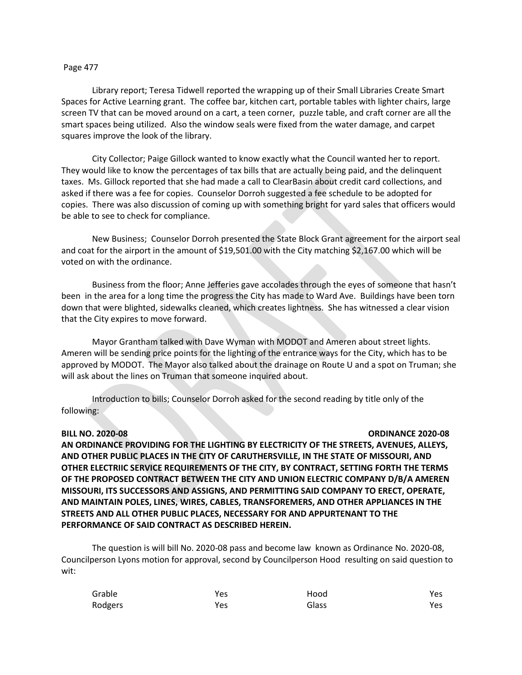### Page 477

Library report; Teresa Tidwell reported the wrapping up of their Small Libraries Create Smart Spaces for Active Learning grant. The coffee bar, kitchen cart, portable tables with lighter chairs, large screen TV that can be moved around on a cart, a teen corner, puzzle table, and craft corner are all the smart spaces being utilized. Also the window seals were fixed from the water damage, and carpet squares improve the look of the library.

City Collector; Paige Gillock wanted to know exactly what the Council wanted her to report. They would like to know the percentages of tax bills that are actually being paid, and the delinquent taxes. Ms. Gillock reported that she had made a call to ClearBasin about credit card collections, and asked if there was a fee for copies. Counselor Dorroh suggested a fee schedule to be adopted for copies. There was also discussion of coming up with something bright for yard sales that officers would be able to see to check for compliance.

New Business; Counselor Dorroh presented the State Block Grant agreement for the airport seal and coat for the airport in the amount of \$19,501.00 with the City matching \$2,167.00 which will be voted on with the ordinance.

Business from the floor; Anne Jefferies gave accolades through the eyes of someone that hasn't been in the area for a long time the progress the City has made to Ward Ave. Buildings have been torn down that were blighted, sidewalks cleaned, which creates lightness. She has witnessed a clear vision that the City expires to move forward.

Mayor Grantham talked with Dave Wyman with MODOT and Ameren about street lights. Ameren will be sending price points for the lighting of the entrance ways for the City, which has to be approved by MODOT. The Mayor also talked about the drainage on Route U and a spot on Truman; she will ask about the lines on Truman that someone inquired about.

Introduction to bills; Counselor Dorroh asked for the second reading by title only of the following:

### **BILL NO. 2020-08 ORDINANCE 2020-08**

**AN ORDINANCE PROVIDING FOR THE LIGHTING BY ELECTRICITY OF THE STREETS, AVENUES, ALLEYS, AND OTHER PUBLIC PLACES IN THE CITY OF CARUTHERSVILLE, IN THE STATE OF MISSOURI, AND OTHER ELECTRIIC SERVICE REQUIREMENTS OF THE CITY, BY CONTRACT, SETTING FORTH THE TERMS OF THE PROPOSED CONTRACT BETWEEN THE CITY AND UNION ELECTRIC COMPANY D/B/A AMEREN MISSOURI, ITS SUCCESSORS AND ASSIGNS, AND PERMITTING SAID COMPANY TO ERECT, OPERATE, AND MAINTAIN POLES, LINES, WIRES, CABLES, TRANSFOREMERS, AND OTHER APPLIANCES IN THE STREETS AND ALL OTHER PUBLIC PLACES, NECESSARY FOR AND APPURTENANT TO THE PERFORMANCE OF SAID CONTRACT AS DESCRIBED HEREIN.**

The question is will bill No. 2020-08 pass and become law known as Ordinance No. 2020-08, Councilperson Lyons motion for approval, second by Councilperson Hood resulting on said question to wit:

| Grable  | Yes | Hood  | Yes  |
|---------|-----|-------|------|
| Rodgers | Yes | Glass | Yes. |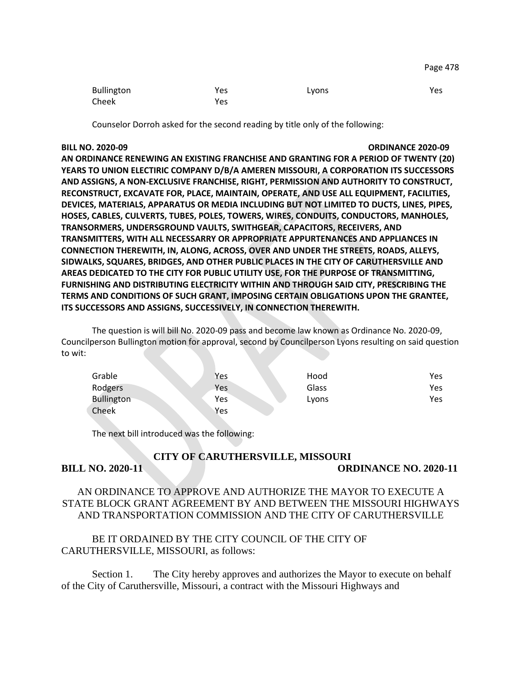Page 478

| Bullington | Yes | Lyons | Yes |
|------------|-----|-------|-----|
| Cheek      | Yes |       |     |

Counselor Dorroh asked for the second reading by title only of the following:

**BILL NO. 2020-09 ORDINANCE 2020-09**

**AN ORDINANCE RENEWING AN EXISTING FRANCHISE AND GRANTING FOR A PERIOD OF TWENTY (20) YEARS TO UNION ELECTIRIC COMPANY D/B/A AMEREN MISSOURI, A CORPORATION ITS SUCCESSORS AND ASSIGNS, A NON-EXCLUSIVE FRANCHISE, RIGHT, PERMISSION AND AUTHORITY TO CONSTRUCT, RECONSTRUCT, EXCAVATE FOR, PLACE, MAINTAIN, OPERATE, AND USE ALL EQUIPMENT, FACILITIES, DEVICES, MATERIALS, APPARATUS OR MEDIA INCLUDING BUT NOT LIMITED TO DUCTS, LINES, PIPES, HOSES, CABLES, CULVERTS, TUBES, POLES, TOWERS, WIRES, CONDUITS, CONDUCTORS, MANHOLES, TRANSORMERS, UNDERSGROUND VAULTS, SWITHGEAR, CAPACITORS, RECEIVERS, AND TRANSMITTERS, WITH ALL NECESSARRY OR APPROPRIATE APPURTENANCES AND APPLIANCES IN CONNECTION THEREWITH, IN, ALONG, ACROSS, OVER AND UNDER THE STREETS, ROADS, ALLEYS, SIDWALKS, SQUARES, BRIDGES, AND OTHER PUBLIC PLACES IN THE CITY OF CARUTHERSVILLE AND AREAS DEDICATED TO THE CITY FOR PUBLIC UTILITY USE, FOR THE PURPOSE OF TRANSMITTING, FURNISHING AND DISTRIBUTING ELECTRICITY WITHIN AND THROUGH SAID CITY, PRESCRIBING THE TERMS AND CONDITIONS OF SUCH GRANT, IMPOSING CERTAIN OBLIGATIONS UPON THE GRANTEE, ITS SUCCESSORS AND ASSIGNS, SUCCESSIVELY, IN CONNECTION THEREWITH.**

The question is will bill No. 2020-09 pass and become law known as Ordinance No. 2020-09, Councilperson Bullington motion for approval, second by Councilperson Lyons resulting on said question to wit:

| Grable            | Yes | Hood  | Yes |
|-------------------|-----|-------|-----|
| Rodgers           | Yes | Glass | Yes |
| <b>Bullington</b> | Yes | Lyons | Yes |
| Cheek             | Yes |       |     |

The next bill introduced was the following:

### **BILL NO. 2020-11 ORDINANCE NO. 2020-11**

# AN ORDINANCE TO APPROVE AND AUTHORIZE THE MAYOR TO EXECUTE A STATE BLOCK GRANT AGREEMENT BY AND BETWEEN THE MISSOURI HIGHWAYS AND TRANSPORTATION COMMISSION AND THE CITY OF CARUTHERSVILLE

**CITY OF CARUTHERSVILLE, MISSOURI**

# BE IT ORDAINED BY THE CITY COUNCIL OF THE CITY OF CARUTHERSVILLE, MISSOURI, as follows:

Section 1. The City hereby approves and authorizes the Mayor to execute on behalf of the City of Caruthersville, Missouri, a contract with the Missouri Highways and